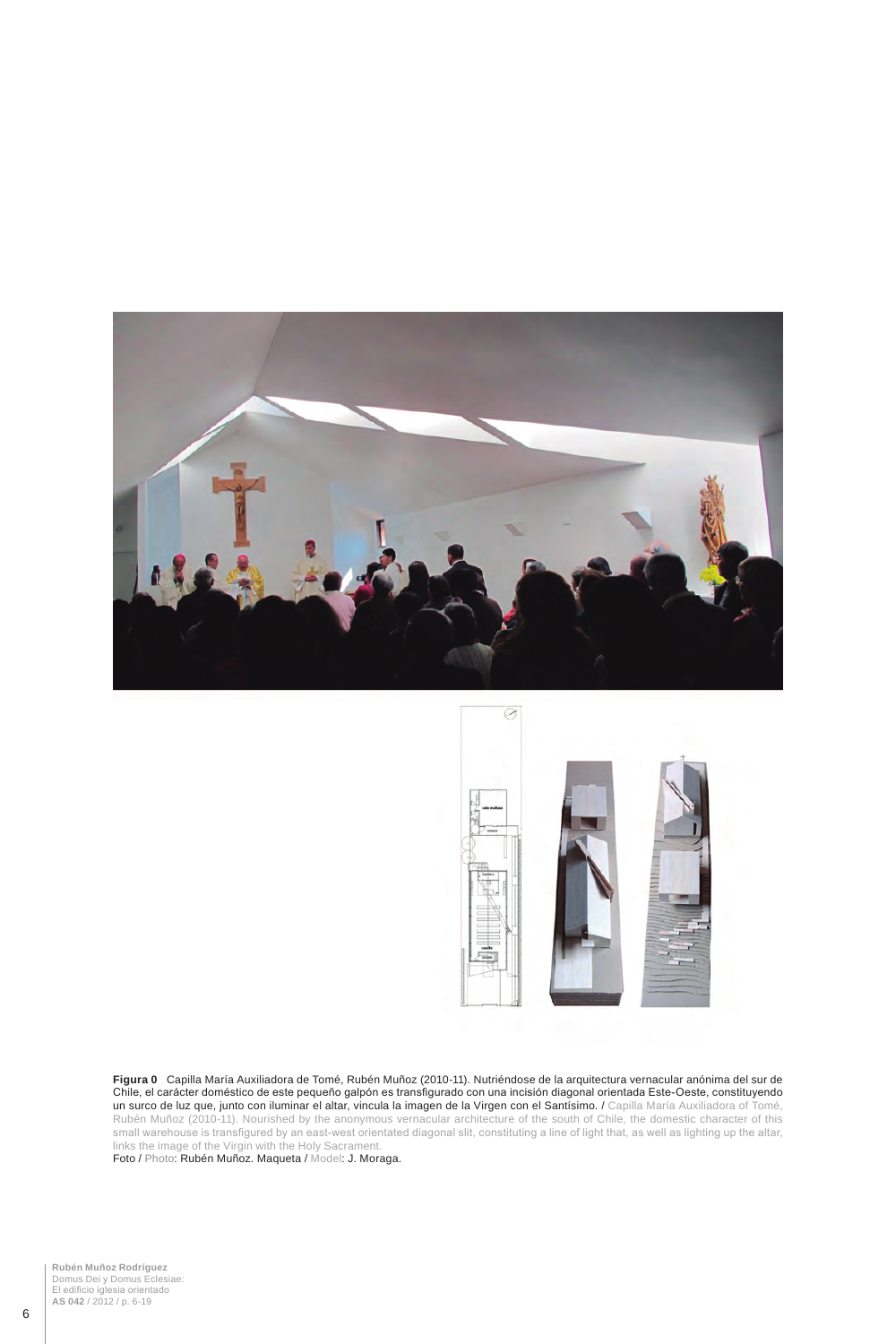



**Figura 0** Capilla María Auxiliadora de Tomé, Rubén Muñoz (2010-11). Nutriéndose de la arquitectura vernacular anónima del sur de Chile, el carácter doméstico de este pequeño galpón es transfigurado con una incisión diagonal orientada Este-Oeste, constituyendo un surco de luz que, junto con iluminar el altar, vincula la imagen de la Virgen con el Santísimo. / Capilla María Auxiliadora of Tomé, Rubén Muñoz (2010-11). Nourished by the anonymous vernacular architecture of the south of Chile, the domestic character of this small warehouse is transfigured by an east-west orientated diagonal slit, constituting a line of light that, as well as lighting up the altar, links the image of the Virgin with the Holy Sacrament.

Foto / Photo: Rubén Muñoz. Maqueta / Model: J. Moraga.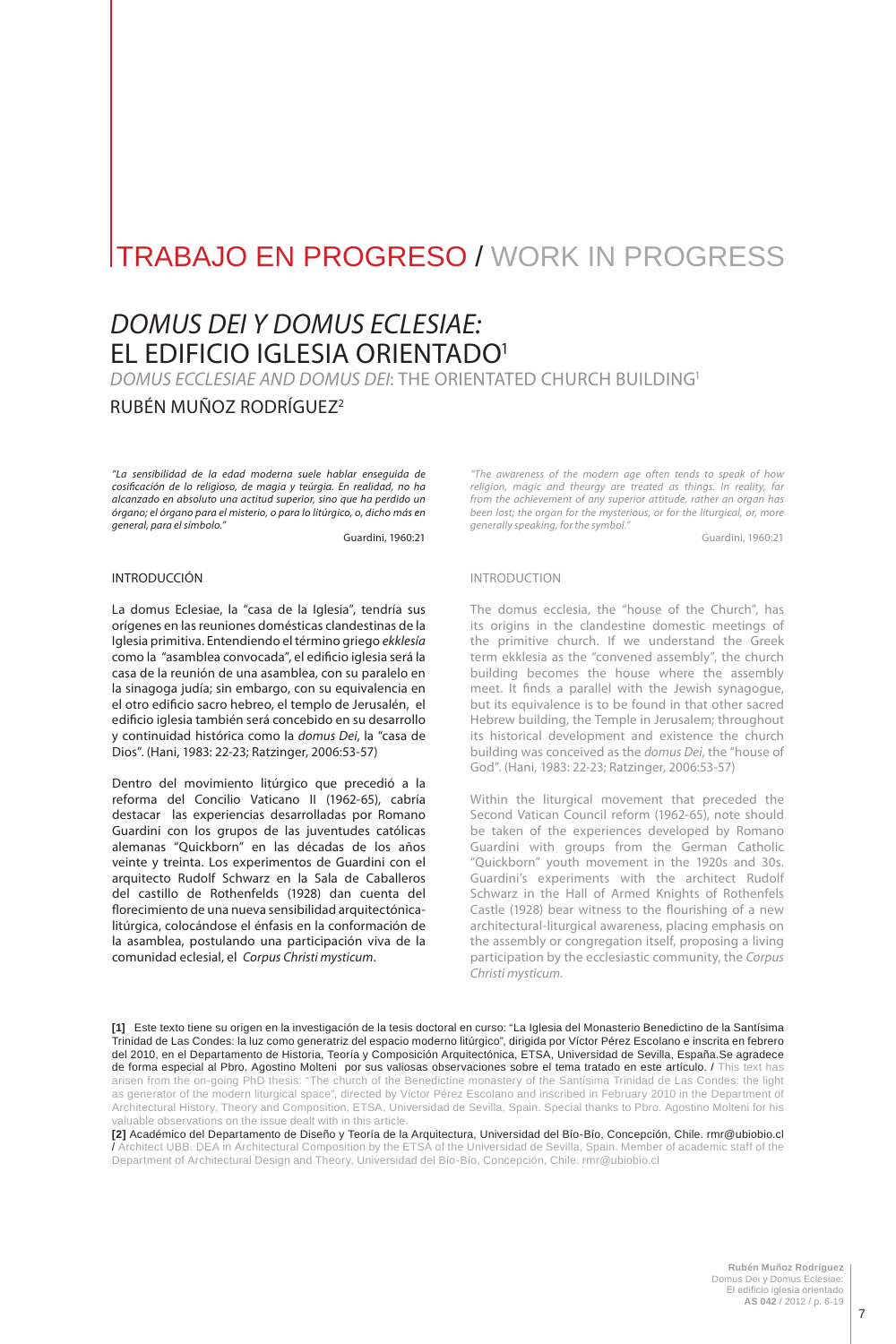# TRABAJO EN PROGRESO / WORK IN PROGRESS

# *DOMUS DEI Y DOMUS ECL ESIA E:* EL EDIFICIO IGLESIA ORIENTADO1

*DOMUS ECCL ESIA E AND DOMUS DEI*: THE ORIENTATED CHURCH BUILDING1

# RUBÉN MUÑOZ RODRÍGUEZ2

*"La sensibilidad de la edad moderna suele hablar enseguida de cosificación de lo religioso, de magia y teúrgia. En realidad, no ha alcanzado en absoluto una actitud superior, sino que ha perdido un órgano; el órgano para el misterio, o para lo litúrgico, o, dicho más en general, para el símbolo."*

Guardini, 1960:21

## INTRODUCCIÓN

La domus Eclesiae, la "casa de la Iglesia", tendría sus orígenes en las reuniones domésticas clandestinas de la Iglesia primitiva. Entendiendo el término griego *ekklesía*  como la "asamblea convocada", el edificio iglesia será la casa de la reunión de una asamblea, con su paralelo en la sinagoga judía; sin embargo, con su equivalencia en el otro edificio sacro hebreo, el templo de Jerusalén, el edificio iglesia también será concebido en su desarrollo y continuidad histórica como la *domus Dei*, la "casa de Dios". (Hani, 1983: 22-23; Ratzinger, 2006:53-57)

Dentro del movimiento litúrgico que precedió a la reforma del Concilio Vaticano II (1962-65), cabría destacar las experiencias desarrolladas por Romano Guardini con los grupos de las juventudes católicas alemanas "Quickborn" en las décadas de los años veinte y treinta. Los experimentos de Guardini con el arquitecto Rudolf Schwarz en la Sala de Caballeros del castillo de Rothenfelds (1928) dan cuenta del florecimiento de una nueva sensibilidad arquitectónicalitúrgica, colocándose el énfasis en la conformación de la asamblea, postulando una participación viva de la comunidad eclesial, el *Corpus Christi mysticum*.

*"The awareness of the modern age often tends to speak of how religion, magic and theurgy are treated as things. In reality, far from the achievement of any superior attitude, rather an organ has been lost; the organ for the mysterious, or for the liturgical, or, more generally speaking, for the symbol."*

Guardini, 1960:21

#### INTRODUCTION

The domus ecclesia, the "house of the Church", has its origins in the clandestine domestic meetings of the primitive church. If we understand the Greek term ekklesia as the "convened assembly", the church building becomes the house where the assembly meet. It finds a parallel with the Jewish synagogue, but its equivalence is to be found in that other sacred Hebrew building, the Temple in Jerusalem; throughout its historical development and existence the church building was conceived as the *domus Dei*, the "house of God". (Hani, 1983: 22-23; Ratzinger, 2006:53-57)

Within the liturgical movement that preceded the Second Vatican Council reform (1962-65), note should be taken of the experiences developed by Romano Guardini with groups from the German Catholic "Quickborn" youth movement in the 1920s and 30s. Guardini's experiments with the architect Rudolf Schwarz in the Hall of Armed Knights of Rothenfels Castle (1928) bear witness to the flourishing of a new architectural-liturgical awareness, placing emphasis on the assembly or congregation itself, proposing a living participation by the ecclesiastic community, the *Corpus Christi mysticum*.

**[1]** Este texto tiene su origen en la investigación de la tesis doctoral en curso: "La Iglesia del Monasterio Benedictino de la Santísima Trinidad de Las Condes: la luz como generatriz del espacio moderno litúrgico", dirigida por Víctor Pérez Escolano e inscrita en febrero del 2010, en el Departamento de Historia, Teoría y Composición Arquitectónica, ETSA, Universidad de Sevilla, España.Se agradece de forma especial al Pbro. Agostino Molteni por sus valiosas observaciones sobre el tema tratado en este artículo. / This text has arisen from the on-going PhD thesis: "The church of the Benedictine monastery of the Santísima Trinidad de Las Condes: the light as generator of the modern liturgical space", directed by Víctor Pérez Escolano and inscribed in February 2010 in the Department of Architectural History, Theory and Composition, ETSA, Universidad de Sevilla, Spain. Special thanks to Pbro. Agostino Molteni for his valuable observations on the issue dealt with in this article.

**[2]** Académico del Departamento de Diseño y Teoría de la Arquitectura, Universidad del Bío-Bío, Concepción, Chile. rmr@ubiobio.cl / Architect UBB. DEA in Architectural Composition by the ETSA of the Universidad de Sevilla, Spain. Member of academic staff of the Department of Architectural Design and Theory, Universidad del Bío-Bío, Concepción, Chile. rmr@ubiobio.cl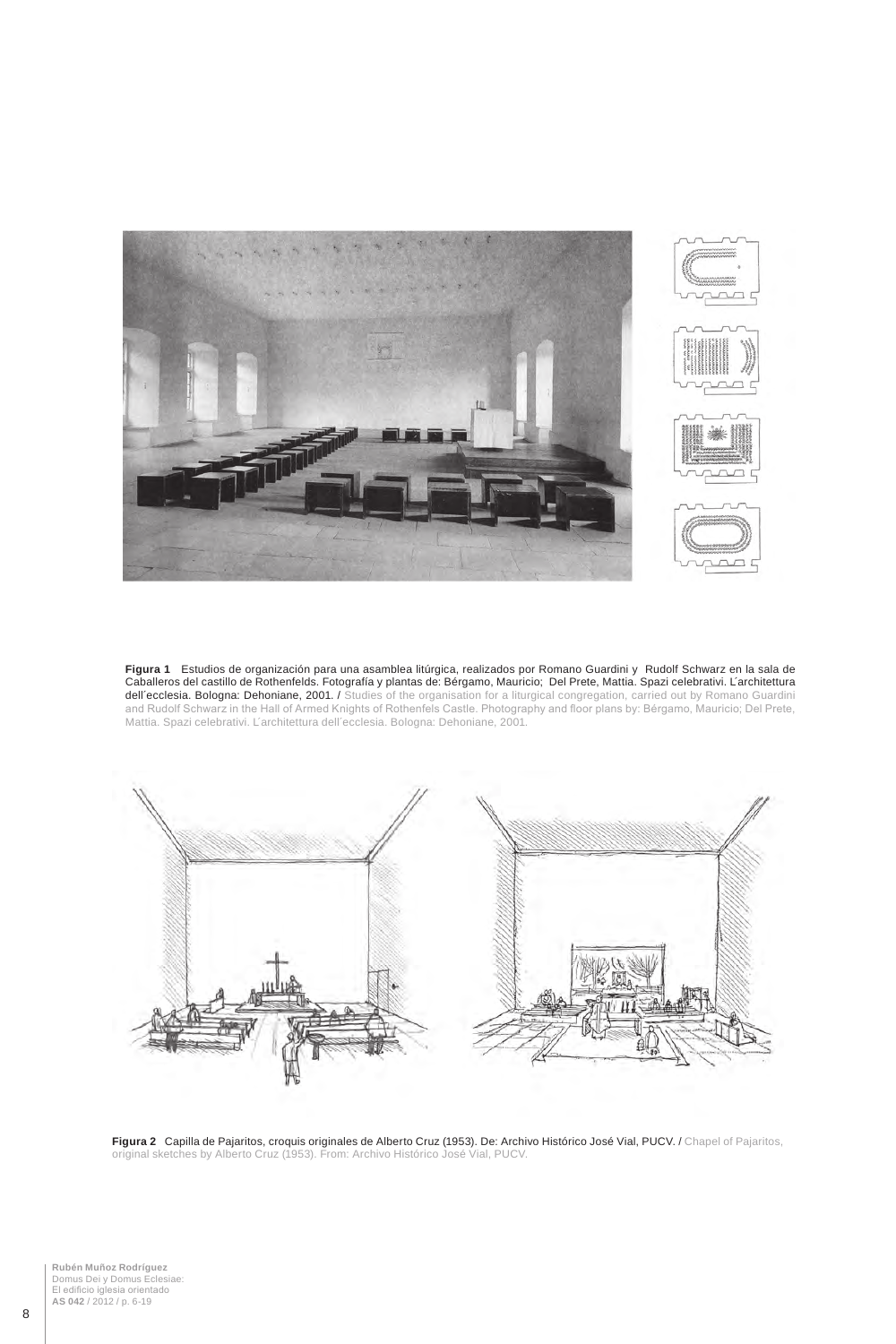

**Figura 1** Estudios de organización para una asamblea litúrgica, realizados por Romano Guardini y Rudolf Schwarz en la sala de Caballeros del castillo de Rothenfelds. Fotografía y plantas de: Bérgamo, Mauricio; Del Prete, Mattia. Spazi celebrativi. L´architettura **dell´ecclesia. Bologna: Dehoniane, 2001. /** Studies of the organisation for a liturgical congregation, carried out by Romano Guardini and Rudolf Schwarz in the Hall of Armed Knights of Rothenfels Castle. Photography and floor plans by: Bérgamo, Mauricio; Del Prete, Mattia. Spazi celebrativi. L´architettura dell´ecclesia. Bologna: Dehoniane, 2001.



**Figura 2** Capilla de Pajaritos, croquis originales de Alberto Cruz (1953). De: Archivo Histórico José Vial, PUCV. / Chapel of Pajaritos, original sketches by Alberto Cruz (1953). From: Archivo Histórico José Vial, PUCV.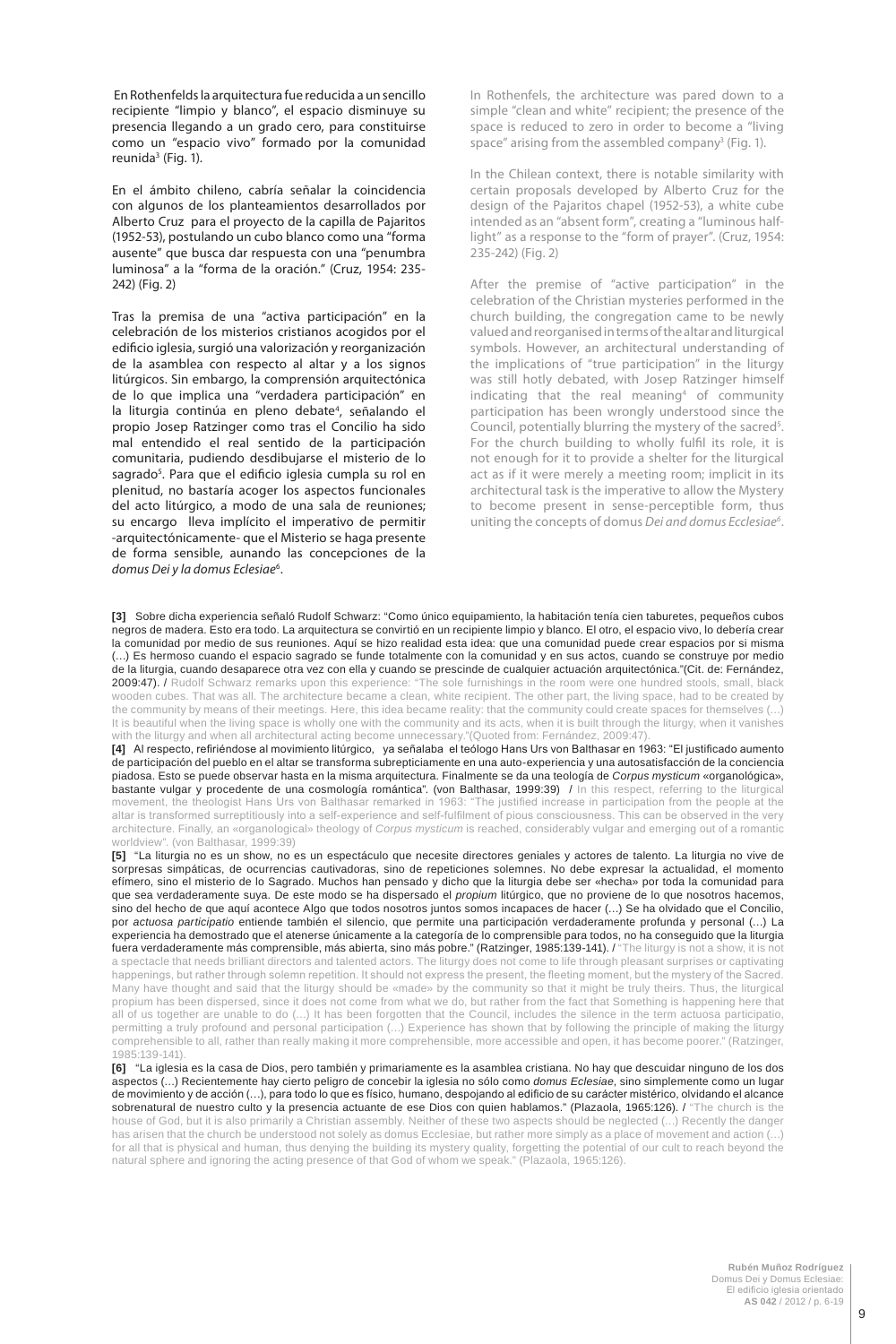En Rothenfelds la arquitectura fue reducida a un sencillo recipiente "limpio y blanco", el espacio disminuye su presencia llegando a un grado cero, para constituirse como un "espacio vivo" formado por la comunidad reunida<sup>3</sup> (Fig. 1).

En el ámbito chileno, cabría señalar la coincidencia con algunos de los planteamientos desarrollados por Alberto Cruz para el proyecto de la capilla de Pajaritos (1952-53), postulando un cubo blanco como una "forma ausente" que busca dar respuesta con una "penumbra luminosa" a la "forma de la oración." (Cruz, 1954: 235- 242) (Fig. 2)

Tras la premisa de una "activa participación" en la celebración de los misterios cristianos acogidos por el edificio iglesia, surgió una valorización y reorganización de la asamblea con respecto al altar y a los signos litúrgicos. Sin embargo, la comprensión arquitectónica de lo que implica una "verdadera participación" en la liturgia continúa en pleno debate<sup>4</sup>, señalando el propio Josep Ratzinger como tras el Concilio ha sido mal entendido el real sentido de la participación comunitaria, pudiendo desdibujarse el misterio de lo sagrado<sup>5</sup>. Para que el edificio iglesia cumpla su rol en plenitud, no bastaría acoger los aspectos funcionales del acto litúrgico, a modo de una sala de reuniones; su encargo lleva implícito el imperativo de permitir -arquitectónicamente- que el Misterio se haga presente de forma sensible, aunando las concepciones de la *domus Dei y la domus Eclesiae*<sup>6</sup> .

In Rothenfels, the architecture was pared down to a simple "clean and white" recipient; the presence of the space is reduced to zero in order to become a "living space" arising from the assembled company<sup>3</sup> (Fig. 1).

In the Chilean context, there is notable similarity with certain proposals developed by Alberto Cruz for the design of the Pajaritos chapel (1952-53), a white cube intended as an "absent form", creating a "luminous halflight" as a response to the "form of prayer". (Cruz, 1954: 235-242) (Fig. 2)

After the premise of "active participation" in the celebration of the Christian mysteries performed in the church building, the congregation came to be newly valued and reorganised in terms of the altar and liturgical symbols. However, an architectural understanding of the implications of "true participation" in the liturgy was still hotly debated, with Josep Ratzinger himself indicating that the real meaning<sup>4</sup> of community participation has been wrongly understood since the Council, potentially blurring the mystery of the sacred<sup>5</sup>. For the church building to wholly fulfil its role, it is not enough for it to provide a shelter for the liturgical act as if it were merely a meeting room; implicit in its architectural task is the imperative to allow the Mystery to become present in sense-perceptible form, thus uniting the concepts of domus *Dei and domus Ecclesiae6* .

**[3]** Sobre dicha experiencia señaló Rudolf Schwarz: "Como único equipamiento, la habitación tenía cien taburetes, pequeños cubos negros de madera. Esto era todo. La arquitectura se convirtió en un recipiente limpio y blanco. El otro, el espacio vivo, lo debería crear la comunidad por medio de sus reuniones. Aquí se hizo realidad esta idea: que una comunidad puede crear espacios por si misma (…) Es hermoso cuando el espacio sagrado se funde totalmente con la comunidad y en sus actos, cuando se construye por medio de la liturgia, cuando desaparece otra vez con ella y cuando se prescinde de cualquier actuación arquitectónica."(Cit. de: Fernández, 2009:47). / Rudolf Schwarz remarks upon this experience: "The sole furnishings in the room were one hundred stools, small, black wooden cubes. That was all. The architecture became a clean, white recipient. The other part, the living space, had to be created by the community by means of their meetings. Here, this idea became reality: that the community could create spaces for themselves (…) It is beautiful when the living space is wholly one with the community and its acts, when it is built through the liturgy, when it vanishes with the liturgy and when all architectural acting become unnecessary."(Quoted from: Fernández, 2009:47).

**[4]** Al respecto, refiriéndose al movimiento litúrgico, ya señalaba el teólogo Hans Urs von Balthasar en 1963: "El justificado aumento de participación del pueblo en el altar se transforma subrepticiamente en una auto-experiencia y una autosatisfacción de la conciencia piadosa. Esto se puede observar hasta en la misma arquitectura. Finalmente se da una teología de *Corpus mysticum* «organológica», bastante vulgar y procedente de una cosmología romántica". (von Balthasar, 1999:39) / In this respect, referring to the liturgical movement, the theologist Hans Urs von Balthasar remarked in 1963: "The justified increase in participation from the people at the altar is transformed surreptitiously into a self-experience and self-fulfilment of pious consciousness. This can be observed in the very architecture. Finally, an «organological» theology of *Corpus mysticum* is reached, considerably vulgar and emerging out of a romantic worldview". (von Balthasar, 1999:39)

**[5]** "La liturgia no es un show, no es un espectáculo que necesite directores geniales y actores de talento. La liturgia no vive de sorpresas simpáticas, de ocurrencias cautivadoras, sino de repeticiones solemnes. No debe expresar la actualidad, el momento efímero, sino el misterio de lo Sagrado. Muchos han pensado y dicho que la liturgia debe ser «hecha» por toda la comunidad para que sea verdaderamente suya. De este modo se ha dispersado el *propium* litúrgico, que no proviene de lo que nosotros hacemos, sino del hecho de que aquí acontece Algo que todos nosotros juntos somos incapaces de hacer (…) Se ha olvidado que el Concilio, por *actuosa participatio* entiende también el silencio, que permite una participación verdaderamente profunda y personal (…) La experiencia ha demostrado que el atenerse únicamente a la categoría de lo comprensible para todos, no ha conseguido que la liturgia fuera verdaderamente más comprensible, más abierta, sino más pobre." (Ratzinger, 1985:139-141). / "The liturgy is not a show, it is not a spectacle that needs brilliant directors and talented actors. The liturgy does not come to life through pleasant surprises or captivating happenings, but rather through solemn repetition. It should not express the present, the fleeting moment, but the mystery of the Sacred. Many have thought and said that the liturgy should be «made» by the community so that it might be truly theirs. Thus, the liturgical propium has been dispersed, since it does not come from what we do, but rather from the fact that Something is happening here that all of us together are unable to do (…) It has been forgotten that the Council, includes the silence in the term actuosa participatio, permitting a truly profound and personal participation (…) Experience has shown that by following the principle of making the liturgy comprehensible to all, rather than really making it more comprehensible, more accessible and open, it has become poorer." (Ratzinger, 1985:139-141).

**[6]** "La iglesia es la casa de Dios, pero también y primariamente es la asamblea cristiana. No hay que descuidar ninguno de los dos aspectos (…) Recientemente hay cierto peligro de concebir la iglesia no sólo como *domus Eclesiae*, sino simplemente como un lugar de movimiento y de acción (…), para todo lo que es físico, humano, despojando al edificio de su carácter mistérico, olvidando el alcance sobrenatural de nuestro culto y la presencia actuante de ese Dios con quien hablamos." (Plazaola, 1965:126). / "The church is the house of God, but it is also primarily a Christian assembly. Neither of these two aspects should be neglected (…) Recently the danger has arisen that the church be understood not solely as domus Ecclesiae, but rather more simply as a place of movement and action (…) for all that is physical and human, thus denying the building its mystery quality, forgetting the potential of our cult to reach beyond the natural sphere and ignoring the acting presence of that God of whom we speak." (Plazaola, 1965:126).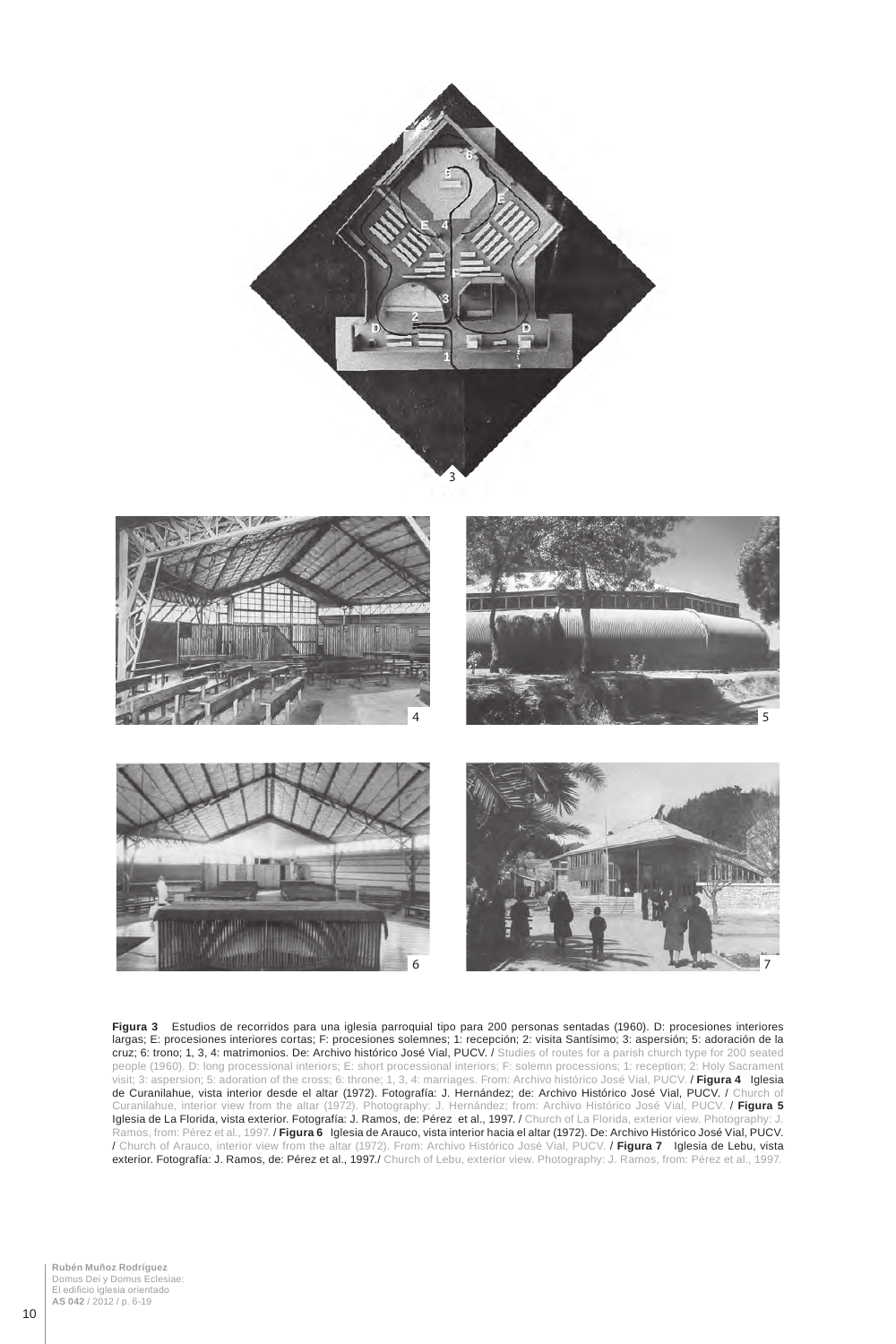



**Figura 3** Estudios de recorridos para una iglesia parroquial tipo para 200 personas sentadas (1960). D: procesiones interiores largas; E: procesiones interiores cortas; F: procesiones solemnes; 1: recepción; 2: visita Santísimo; 3: aspersión; 5: adoración de la cruz; 6: trono; 1, 3, 4: matrimonios. De: Archivo histórico José Vial, PUCV. / Studies of routes for a parish church type for 200 seated people (1960). D: long processional interiors; E: short processional interiors; F: solemn processions; 1: reception; 2: Holy Sacrament visit; 3: aspersion; 5: adoration of the cross; 6: throne; 1, 3, 4: marriages. From: Archivo histórico José Vial, PUCV. / **Figura 4** Iglesia de Curanilahue, vista interior desde el altar (1972). Fotografía: J. Hernández; de: Archivo Histórico José Vial, PUCV. / Church of Curanilahue, interior view from the altar (1972). Photography: J. Hernández; from: Archivo Histórico José Vial, PUCV. / **Figura 5**  Iglesia de La Florida, vista exterior. Fotografía: J. Ramos, de: Pérez et al., 1997. / Church of La Florida, exterior view. Photo Ramos, from: Pérez et al., 1997. / **Figura 6** Iglesia de Arauco, vista interior hacia el altar (1972). De: Archivo Histórico José Vial, PUCV. / Church of Arauco, interior view from the altar (1972). From: Archivo Histórico José Vial, PUCV. / **Figura 7** Iglesia de Lebu, vista **exterior. Fotografía: J. Ramos, de: Pérez et al., 1997./** Church of Lebu, exterior view. Photography: J. Ramos, from: Pérez et al., 1997.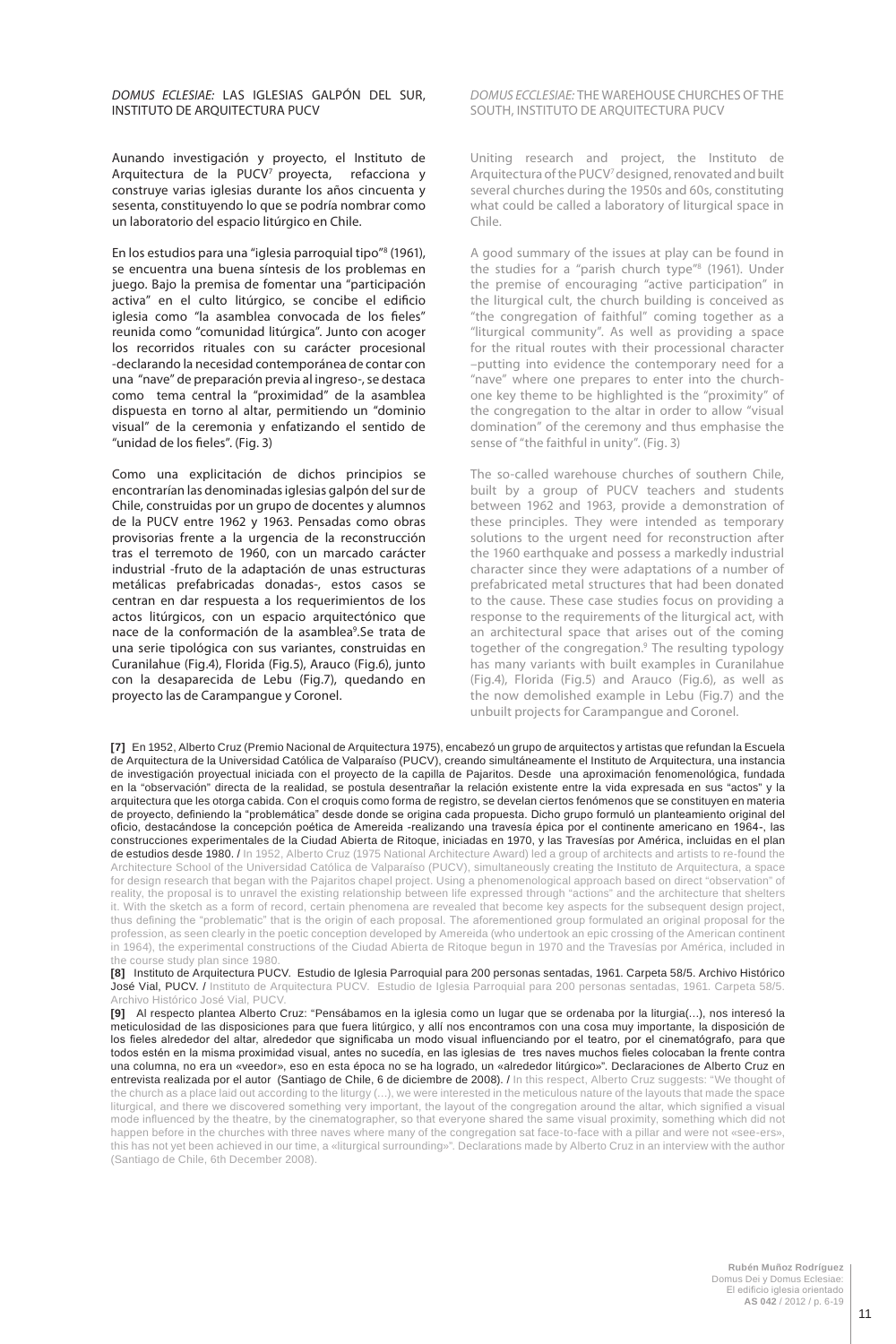## **DOMUS ECLESIAE: LAS IGLESIAS GALPÓN DEL SUR,** INSTITUTO DE ARQUITECTURA PUCV

Aunando investigación y proyecto, el Instituto de Arquitectura de la PUCV<sup>7</sup> proyecta, refacciona y construye varias iglesias durante los años cincuenta y sesenta, constituyendo lo que se podría nombrar como un laboratorio del espacio litúrgico en Chile.

En los estudios para una "iglesia parroquial tipo"8 (1961), se encuentra una buena síntesis de los problemas en juego. Bajo la premisa de fomentar una "participación activa" en el culto litúrgico, se concibe el edificio iglesia como "la asamblea convocada de los fieles" reunida como "comunidad litúrgica". Junto con acoger los recorridos rituales con su carácter procesional -declarando la necesidad contemporánea de contar con una "nave" de preparación previa al ingreso-, se destaca como tema central la "proximidad" de la asamblea dispuesta en torno al altar, permitiendo un "dominio visual" de la ceremonia y enfatizando el sentido de "unidad de los fieles". (Fig. 3)

Como una explicitación de dichos principios se encontrarían las denominadas iglesias galpón del sur de Chile, construidas por un grupo de docentes y alumnos de la PUCV entre 1962 y 1963. Pensadas como obras provisorias frente a la urgencia de la reconstrucción tras el terremoto de 1960, con un marcado carácter industrial -fruto de la adaptación de unas estructuras metálicas prefabricadas donadas-, estos casos se centran en dar respuesta a los requerimientos de los actos litúrgicos, con un espacio arquitectónico que nace de la conformación de la asamblea<sup>9</sup>. Se trata de una serie tipológica con sus variantes, construidas en Curanilahue (Fig.4), Florida (Fig.5), Arauco (Fig.6), junto con la desaparecida de Lebu (Fig.7), quedando en proyecto las de Carampangue y Coronel.

### **DOMUS ECCLESIAE: THE WAREHOUSE CHURCHES OF THE** SOUTH, INSTITUTO DE ARQUITECTURA PUCV

Uniting research and project, the Instituto de Arquitectura of the PUCV<sup>7</sup> designed, renovated and built several churches during the 1950s and 60s, constituting what could be called a laboratory of liturgical space in Chile.

A good summary of the issues at play can be found in the studies for a "parish church type"8 (1961). Under the premise of encouraging "active participation" in the liturgical cult, the church building is conceived as "the congregation of faithful" coming together as a "liturgical community". As well as providing a space for the ritual routes with their processional character –putting into evidence the contemporary need for a "nave" where one prepares to enter into the churchone key theme to be highlighted is the "proximity" of the congregation to the altar in order to allow "visual domination" of the ceremony and thus emphasise the sense of "the faithful in unity". (Fig. 3)

The so-called warehouse churches of southern Chile, built by a group of PUCV teachers and students between 1962 and 1963, provide a demonstration of these principles. They were intended as temporary solutions to the urgent need for reconstruction after the 1960 earthquake and possess a markedly industrial character since they were adaptations of a number of prefabricated metal structures that had been donated to the cause. These case studies focus on providing a response to the requirements of the liturgical act, with an architectural space that arises out of the coming together of the congregation.9 The resulting typology has many variants with built examples in Curanilahue (Fig.4), Florida (Fig.5) and Arauco (Fig.6), as well as the now demolished example in Lebu (Fig.7) and the unbuilt projects for Carampangue and Coronel.

**[7]** En 1952, Alberto Cruz (Premio Nacional de Arquitectura 1975), encabezó un grupo de arquitectos y artistas que refundan la Escuela de Arquitectura de la Universidad Católica de Valparaíso (PUCV), creando simultáneamente el Instituto de Arquitectura, una instancia de investigación proyectual iniciada con el proyecto de la capilla de Pajaritos. Desde una aproximación fenomenológica, fundada en la "observación" directa de la realidad, se postula desentrañar la relación existente entre la vida expresada en sus "actos" y la arquitectura que les otorga cabida. Con el croquis como forma de registro, se develan ciertos fenómenos que se constituyen en materia de proyecto, definiendo la "problemática" desde donde se origina cada propuesta. Dicho grupo formuló un planteamiento original del oficio, destacándose la concepción poética de Amereida -realizando una travesía épica por el continente americano en 1964-, las construcciones experimentales de la Ciudad Abierta de Ritoque, iniciadas en 1970, y las Travesías por América, incluidas en el plan de estudios desde 1980. / In 1952, Alberto Cruz (1975 National Architecture Award) led a group of architects and artists to re-found the Architecture School of the Universidad Católica de Valparaíso (PUCV), simultaneously creating the Instituto de Arquitectura, a space for design research that began with the Pajaritos chapel project. Using a phenomenological approach based on direct "observation" of reality, the proposal is to unravel the existing relationship between life expressed through "actions" and the architecture that shelters it. With the sketch as a form of record, certain phenomena are revealed that become key aspects for the subsequent design project, thus defining the "problematic" that is the origin of each proposal. The aforementioned group formulated an original proposal for the profession, as seen clearly in the poetic conception developed by Amereida (who undertook an epic crossing of the American continent in 1964), the experimental constructions of the Ciudad Abierta de Ritoque begun in 1970 and the Travesías por América, included in the course study plan since 1980.

**[8]** Instituto de Arquitectura PUCV. Estudio de Iglesia Parroquial para 200 personas sentadas, 1961. Carpeta 58/5. Archivo Histórico José Vial, PUCV. / Instituto de Arquitectura PUCV. Estudio de Iglesia Parroquial para 200 personas sentadas, 1961. Carpeta 58/5. Archivo Histórico José Vial, PUCV.

**[9]** Al respecto plantea Alberto Cruz: "Pensábamos en la iglesia como un lugar que se ordenaba por la liturgia(…), nos interesó la meticulosidad de las disposiciones para que fuera litúrgico, y allí nos encontramos con una cosa muy importante, la disposición de los fieles alrededor del altar, alrededor que significaba un modo visual influenciando por el teatro, por el cinematógrafo, para que todos estén en la misma proximidad visual, antes no sucedía, en las iglesias de tres naves muchos fieles colocaban la frente contra una columna, no era un «veedor», eso en esta época no se ha logrado, un «alrededor litúrgico»". Declaraciones de Alberto Cruz en entrevista realizada por el autor (Santiago de Chile, 6 de diciembre de 2008). / In this respect, Alberto Cruz suggests: "We thought of the church as a place laid out according to the liturgy (…), we were interested in the meticulous nature of the layouts that made the space liturgical, and there we discovered something very important, the layout of the congregation around the altar, which signified a visual mode influenced by the theatre, by the cinematographer, so that everyone shared the same visual proximity, something which did not happen before in the churches with three naves where many of the congregation sat face-to-face with a pillar and were not «see-ers», this has not yet been achieved in our time, a «liturgical surrounding»". Declarations made by Alberto Cruz in an interview with the author (Santiago de Chile, 6th December 2008).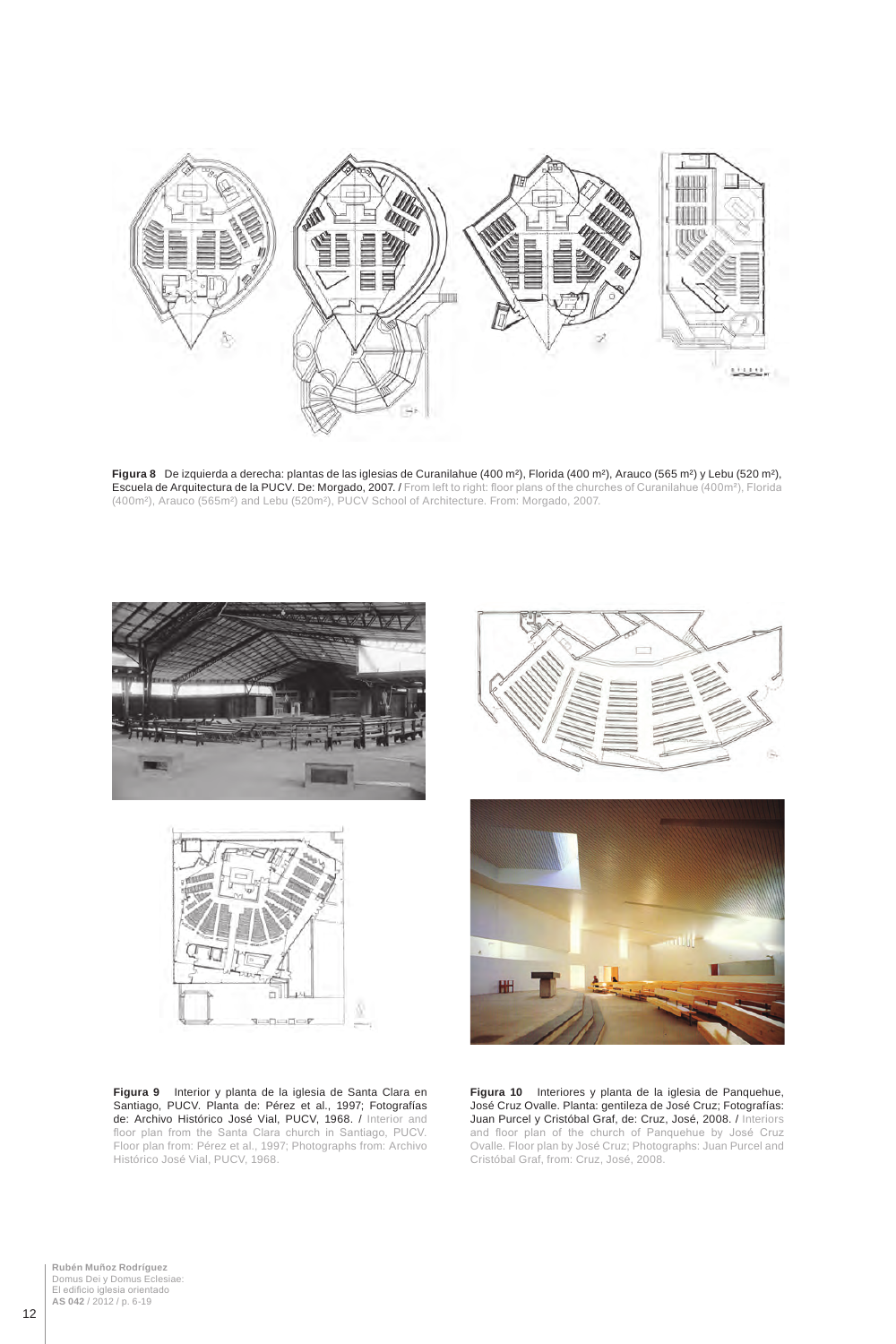

**Figura 8** De izquierda a derecha: plantas de las iglesias de Curanilahue (400 m²), Florida (400 m²), Arauco (565 m²) y Lebu (520 m²), Escuela de Arquitectura de la PUCV. De: Morgado, 2007. / From left to right: floor plans of the churches of Curanilahue (400m²), Florida (400m²), Arauco (565m²) and Lebu (520m²), PUCV School of Architecture. From: Morgado, 2007.





**Figura 9** Interior y planta de la iglesia de Santa Clara en Santiago, PUCV. Planta de: Pérez et al., 1997; Fotografías de: Archivo Histórico José Vial, PUCV, 1968. / Interior and floor plan from the Santa Clara church in Santiago, PUCV. Floor plan from: Pérez et al., 1997; Photographs from: Archivo Histórico José Vial, PUCV, 1968.





**Figura 10** Interiores y planta de la iglesia de Panquehue, José Cruz Ovalle. Planta: gentileza de José Cruz; Fotografías: Juan Purcel y Cristóbal Graf, de: Cruz, José, 2008. / Interiors and floor plan of the church of Panquehue by José Cruz Ovalle. Floor plan by José Cruz; Photographs: Juan Purcel and Cristóbal Graf, from: Cruz, José, 2008.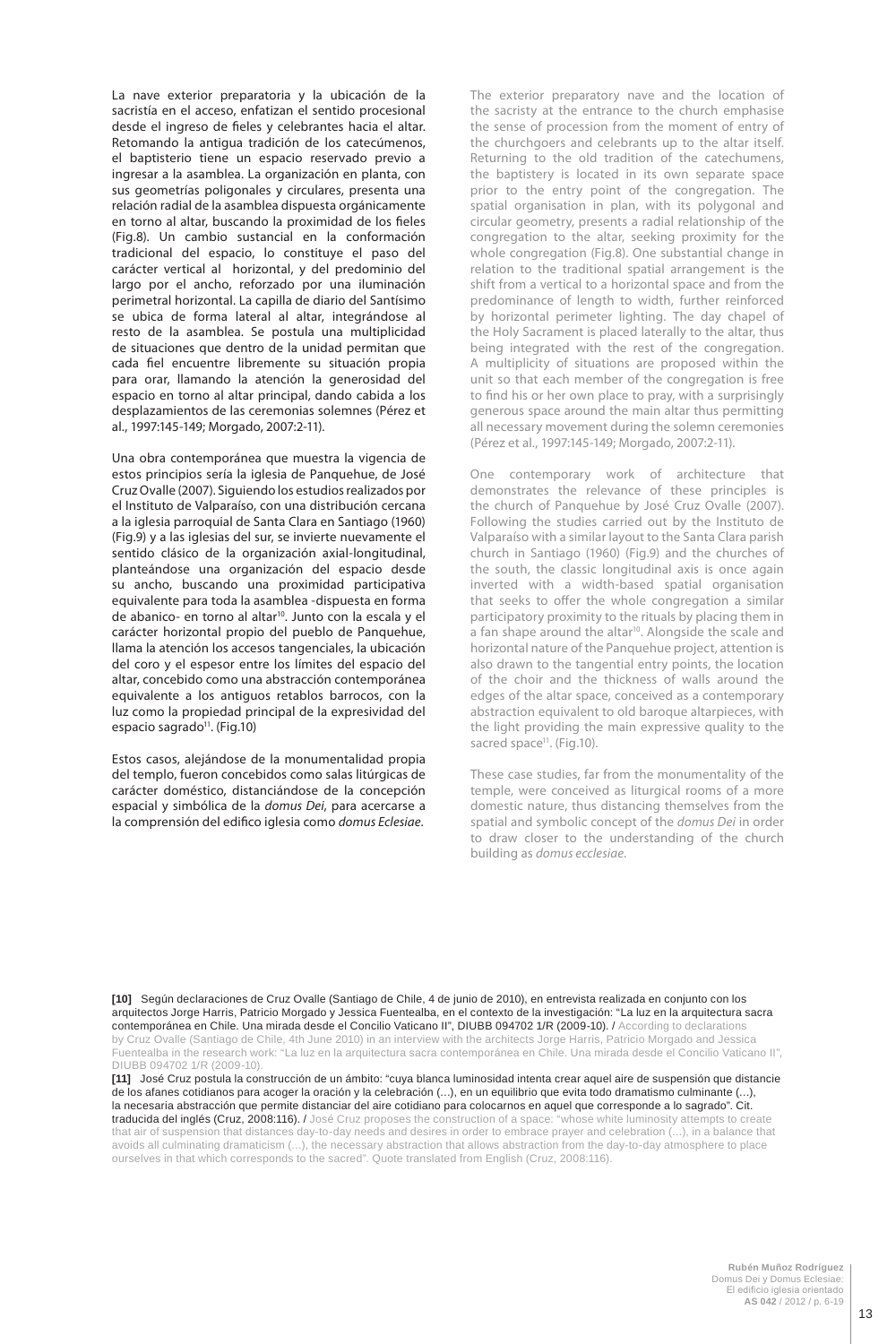La nave exterior preparatoria y la ubicación de la sacristía en el acceso, enfatizan el sentido procesional desde el ingreso de fieles y celebrantes hacia el altar. Retomando la antigua tradición de los catecúmenos, el baptisterio tiene un espacio reservado previo a ingresar a la asamblea. La organización en planta, con sus geometrías poligonales y circulares, presenta una relación radial de la asamblea dispuesta orgánicamente en torno al altar, buscando la proximidad de los fieles (Fig.8). Un cambio sustancial en la conformación tradicional del espacio, lo constituye el paso del carácter vertical al horizontal, y del predominio del largo por el ancho, reforzado por una iluminación perimetral horizontal. La capilla de diario del Santísimo se ubica de forma lateral al altar, integrándose al resto de la asamblea. Se postula una multiplicidad de situaciones que dentro de la unidad permitan que cada fiel encuentre libremente su situación propia para orar, llamando la atención la generosidad del espacio en torno al altar principal, dando cabida a los desplazamientos de las ceremonias solemnes (Pérez et al., 1997:145-149; Morgado, 2007:2-11).

Una obra contemporánea que muestra la vigencia de estos principios sería la iglesia de Panquehue, de José Cruz Ovalle (2007). Siguiendo los estudios realizados por el Instituto de Valparaíso, con una distribución cercana a la iglesia parroquial de Santa Clara en Santiago (1960) (Fig.9) y a las iglesias del sur, se invierte nuevamente el sentido clásico de la organización axial-longitudinal, planteándose una organización del espacio desde su ancho, buscando una proximidad participativa equivalente para toda la asamblea -dispuesta en forma de abanico- en torno al altar<sup>10</sup>. Junto con la escala y el carácter horizontal propio del pueblo de Panquehue, llama la atención los accesos tangenciales, la ubicación del coro y el espesor entre los límites del espacio del altar, concebido como una abstracción contemporánea equivalente a los antiguos retablos barrocos, con la luz como la propiedad principal de la expresividad del espacio sagrado<sup>11</sup>. (Fig.10)

Estos casos, alejándose de la monumentalidad propia del templo, fueron concebidos como salas litúrgicas de carácter doméstico, distanciándose de la concepción espacial y simbólica de la *domus Dei*, para acercarse a la comprensión del edifico iglesia como *domus Eclesiae*.

The exterior preparatory nave and the location of the sacristy at the entrance to the church emphasise the sense of procession from the moment of entry of the churchgoers and celebrants up to the altar itself. Returning to the old tradition of the catechumens, the baptistery is located in its own separate space prior to the entry point of the congregation. The spatial organisation in plan, with its polygonal and circular geometry, presents a radial relationship of the congregation to the altar, seeking proximity for the whole congregation (Fig.8). One substantial change in relation to the traditional spatial arrangement is the shift from a vertical to a horizontal space and from the predominance of length to width, further reinforced by horizontal perimeter lighting. The day chapel of the Holy Sacrament is placed laterally to the altar, thus being integrated with the rest of the congregation. A multiplicity of situations are proposed within the unit so that each member of the congregation is free to find his or her own place to pray, with a surprisingly generous space around the main altar thus permitting all necessary movement during the solemn ceremonies (Pérez et al., 1997:145-149; Morgado, 2007:2-11).

One contemporary work of architecture that demonstrates the relevance of these principles is the church of Panquehue by José Cruz Ovalle (2007). Following the studies carried out by the Instituto de Valparaíso with a similar layout to the Santa Clara parish church in Santiago (1960) (Fig.9) and the churches of the south, the classic longitudinal axis is once again inverted with a width-based spatial organisation that seeks to offer the whole congregation a similar participatory proximity to the rituals by placing them in a fan shape around the altar<sup>10</sup>. Alongside the scale and horizontal nature of the Panquehue project, attention is also drawn to the tangential entry points, the location of the choir and the thickness of walls around the edges of the altar space, conceived as a contemporary abstraction equivalent to old baroque altarpieces, with the light providing the main expressive quality to the sacred space<sup>11</sup>. (Fig.10).

These case studies, far from the monumentality of the temple, were conceived as liturgical rooms of a more domestic nature, thus distancing themselves from the spatial and symbolic concept of the *domus Dei* in order to draw closer to the understanding of the church building as *domus ecclesiae*.

**[10]** Según declaraciones de Cruz Ovalle (Santiago de Chile, 4 de junio de 2010), en entrevista realizada en conjunto con los arquitectos Jorge Harris, Patricio Morgado y Jessica Fuentealba, en el contexto de la investigación: "La luz en la arquitectura sacra contemporánea en Chile. Una mirada desde el Concilio Vaticano II", DIUBB 094702 1/R (2009-10). / According to declarations by Cruz Ovalle (Santiago de Chile, 4th June 2010) in an interview with the architects Jorge Harris, Patricio Morgado and Jessica Fuentealba in the research work: "La luz en la arquitectura sacra contemporánea en Chile. Una mirada desde el Concilio Vaticano II", DIUBB 094702 1/R (2009-10).

**[11]** José Cruz postula la construcción de un ámbito: "cuya blanca luminosidad intenta crear aquel aire de suspensión que distancie de los afanes cotidianos para acoger la oración y la celebración (…), en un equilibrio que evita todo dramatismo culminante (…), la necesaria abstracción que permite distanciar del aire cotidiano para colocarnos en aquel que corresponde a lo sagrado". Cit. traducida del inglés (Cruz, 2008:116). / José Cruz proposes the construction of a space: "whose white luminosity attempts to create that air of suspension that distances day-to-day needs and desires in order to embrace prayer and celebration (…), in a balance that avoids all culminating dramaticism (…), the necessary abstraction that allows abstraction from the day-to-day atmosphere to place ourselves in that which corresponds to the sacred". Quote translated from English (Cruz, 2008:116).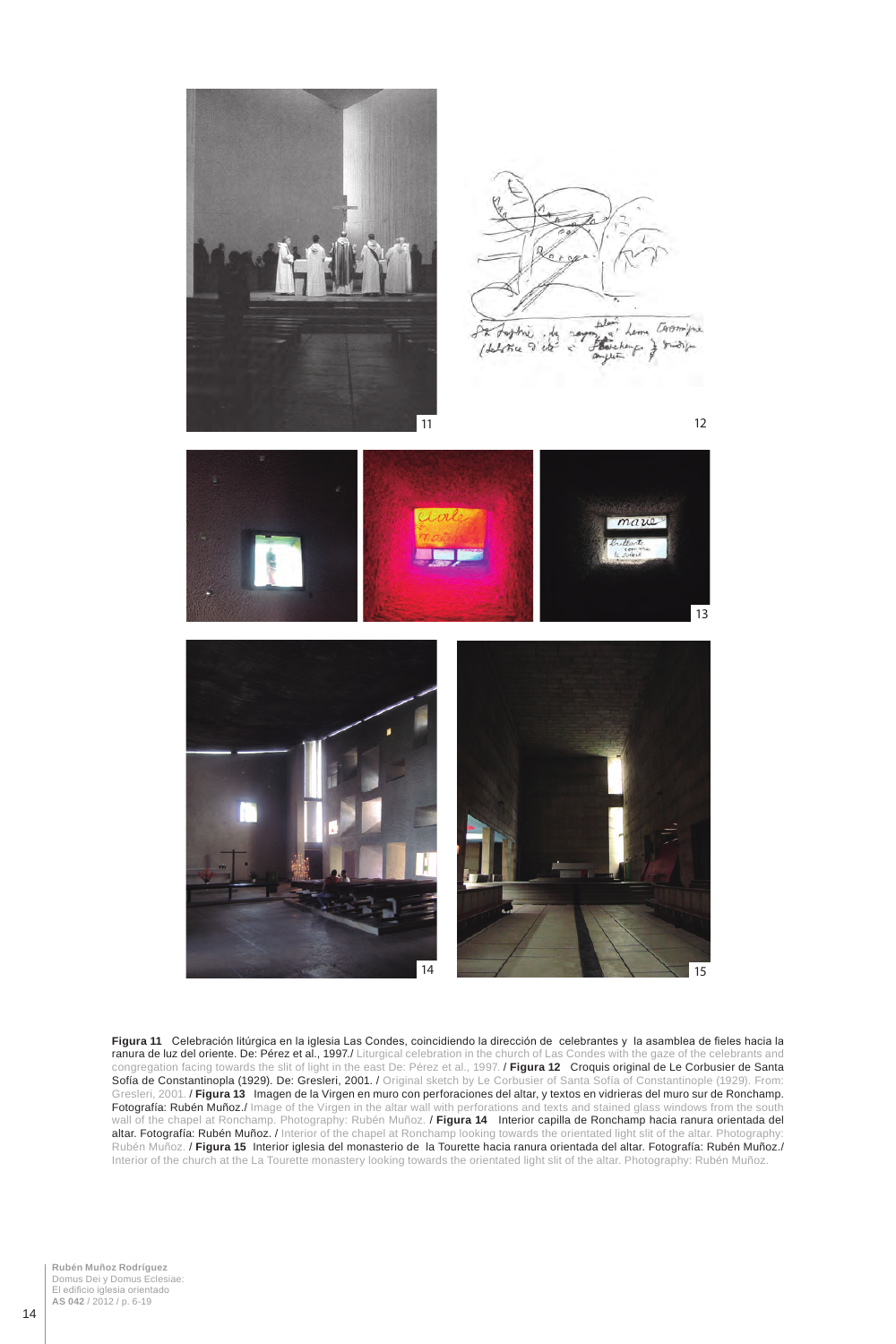

**Figura 11** Celebración litúrgica en la iglesia Las Condes, coincidiendo la dirección de celebrantes y la asamblea de fieles hacia la **ranura de luz del oriente. De: Pérez et al., 1997./** Liturgical celebration in the church of Las Condes with the gaze of the celebrants and congregation facing towards the slit of light in the east De: Pérez et al., 1997. / **Figura 12** Croquis original de Le Corbusier de Santa Sofía de Constantinopla (1929). De: Gresleri, 2001. / Original sketch by Le Corbusier of Santa Sofía of Constantinople (1929). From: Gresleri, 2001. / **Figura 13** Imagen de la Virgen en muro con perforaciones del altar, y textos en vidrieras del muro sur de Ronchamp. **Fotografía: Rubén Muñoz./** Image of the Virgen in the altar wall with perforations and texts and stained glass windows from the south wall of the chapel at Ronchamp. Photography: Rubén Muñoz. / **Figura 14** Interior capilla de Ronchamp hacia ranura orientada del altar. Fotografía: Rubén Muñoz. / Interior of the chapel at Ronchamp looking towards the orientated light slit of the altar. Photography: Rubén Muñoz. / **Figura 15** Interior iglesia del monasterio de la Tourette hacia ranura orientada del altar. Fotografía: Rubén Muñoz./ Interior of the church at the La Tourette monastery looking towards the orientated light slit of the altar. Photography: Rubén Muñoz.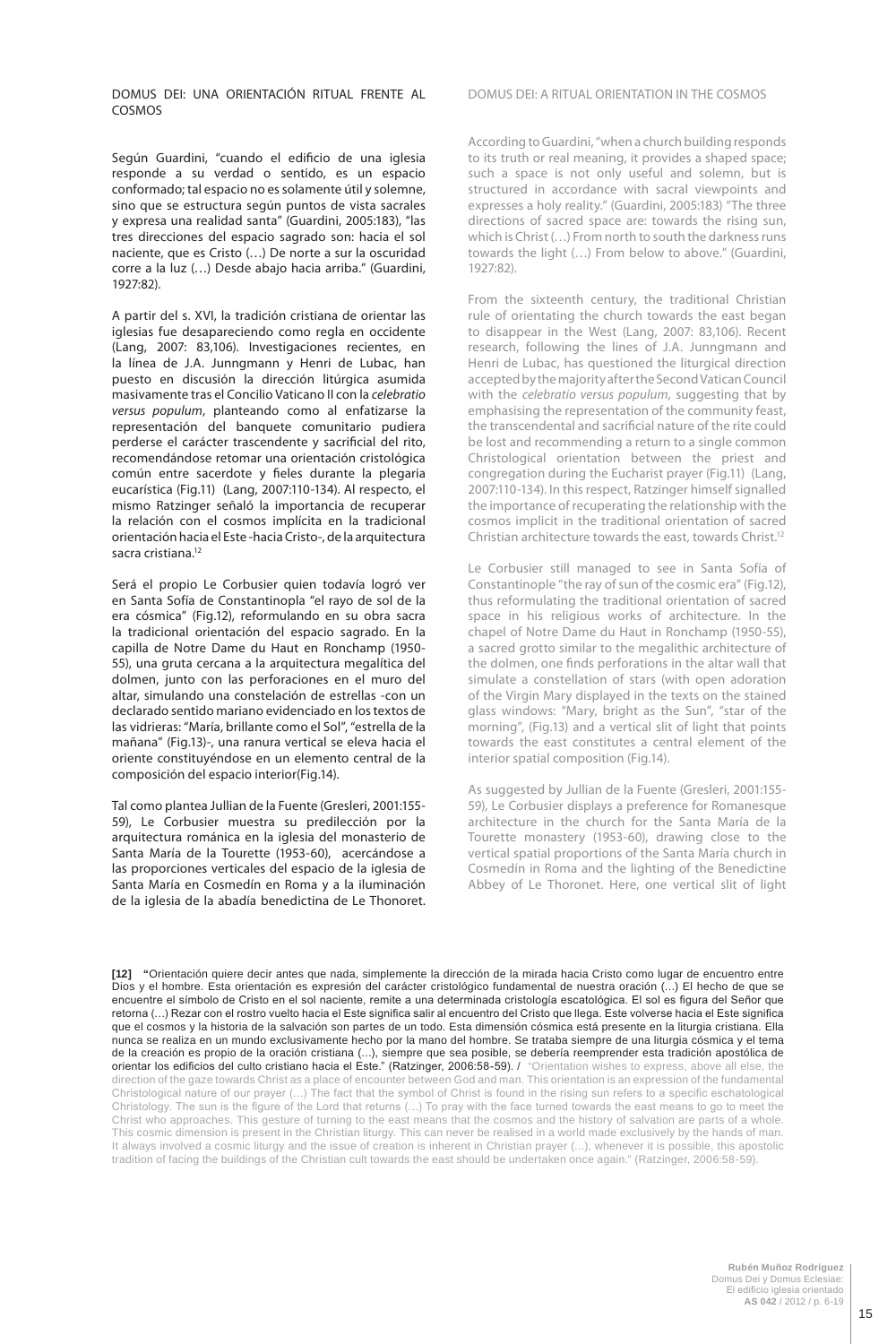DOMUS DEI: UNA ORIENTACIÓN RITUAL FRENTE AL COSMOS

Según Guardini, "cuando el edificio de una iglesia responde a su verdad o sentido, es un espacio conformado; tal espacio no es solamente útil y solemne, sino que se estructura según puntos de vista sacrales y expresa una realidad santa" (Guardini, 2005:183), "las tres direcciones del espacio sagrado son: hacia el sol naciente, que es Cristo (…) De norte a sur la oscuridad corre a la luz (…) Desde abajo hacia arriba." (Guardini, 1927:82).

A partir del s. XVI, la tradición cristiana de orientar las iglesias fue desapareciendo como regla en occidente (Lang, 2007: 83,106). Investigaciones recientes, en la línea de J.A. Junngmann y Henri de Lubac, han puesto en discusión la dirección litúrgica asumida masivamente tras el Concilio Vaticano II con la *celebratio versus populum*, planteando como al enfatizarse la representación del banquete comunitario pudiera perderse el carácter trascendente y sacrificial del rito, recomendándose retomar una orientación cristológica común entre sacerdote y fieles durante la plegaria eucarística (Fig.11) (Lang, 2007:110-134). Al respecto, el mismo Ratzinger señaló la importancia de recuperar la relación con el cosmos implícita en la tradicional orientación hacia el Este -hacia Cristo-, de la arquitectura sacra cristiana.<sup>12</sup>

Será el propio Le Corbusier quien todavía logró ver en Santa Sofía de Constantinopla "el rayo de sol de la era cósmica" (Fig.12), reformulando en su obra sacra la tradicional orientación del espacio sagrado. En la capilla de Notre Dame du Haut en Ronchamp (1950- 55), una gruta cercana a la arquitectura megalítica del dolmen, junto con las perforaciones en el muro del altar, simulando una constelación de estrellas -con un declarado sentido mariano evidenciado en los textos de las vidrieras: "María, brillante como el Sol", "estrella de la mañana" (Fig.13)-, una ranura vertical se eleva hacia el oriente constituyéndose en un elemento central de la composición del espacio interior(Fig.14).

Tal como plantea Jullian de la Fuente (Gresleri, 2001:155- 59), Le Corbusier muestra su predilección por la arquitectura románica en la iglesia del monasterio de Santa María de la Tourette (1953-60), acercándose a las proporciones verticales del espacio de la iglesia de Santa María en Cosmedín en Roma y a la iluminación de la iglesia de la abadía benedictina de Le Thonoret.

#### DOMUS DEI: A RITUAL ORIENTATION IN THE COSMOS

According to Guardini, "when a church building responds to its truth or real meaning, it provides a shaped space; such a space is not only useful and solemn, but is structured in accordance with sacral viewpoints and expresses a holy reality." (Guardini, 2005:183) "The three directions of sacred space are: towards the rising sun, which is Christ (…) From north to south the darkness runs towards the light (…) From below to above." (Guardini, 1927:82).

From the sixteenth century, the traditional Christian rule of orientating the church towards the east began to disappear in the West (Lang, 2007: 83,106). Recent research, following the lines of J.A. Junngmann and Henri de Lubac, has questioned the liturgical direction accepted by the majority after the Second Vatican Council with the *celebratio versus populum*, suggesting that by emphasising the representation of the community feast, the transcendental and sacrificial nature of the rite could be lost and recommending a return to a single common Christological orientation between the priest and congregation during the Eucharist prayer (Fig.11) (Lang, 2007:110-134). In this respect, Ratzinger himself signalled the importance of recuperating the relationship with the cosmos implicit in the traditional orientation of sacred Christian architecture towards the east, towards Christ.12

Le Corbusier still managed to see in Santa Sofía of Constantinople "the ray of sun of the cosmic era" (Fig.12), thus reformulating the traditional orientation of sacred space in his religious works of architecture. In the chapel of Notre Dame du Haut in Ronchamp (1950-55), a sacred grotto similar to the megalithic architecture of the dolmen, one finds perforations in the altar wall that simulate a constellation of stars (with open adoration of the Virgin Mary displayed in the texts on the stained glass windows: "Mary, bright as the Sun", "star of the morning", (Fig.13) and a vertical slit of light that points towards the east constitutes a central element of the interior spatial composition (Fig.14).

As suggested by Jullian de la Fuente (Gresleri, 2001:155- 59), Le Corbusier displays a preference for Romanesque architecture in the church for the Santa María de la Tourette monastery (1953-60), drawing close to the vertical spatial proportions of the Santa María church in Cosmedín in Roma and the lighting of the Benedictine Abbey of Le Thoronet. Here, one vertical slit of light

**[12] "**Orientación quiere decir antes que nada, simplemente la dirección de la mirada hacia Cristo como lugar de encuentro entre Dios y el hombre. Esta orientación es expresión del carácter cristológico fundamental de nuestra oración (…) El hecho de que se encuentre el símbolo de Cristo en el sol naciente, remite a una determinada cristología escatológica. El sol es figura del Señor que retorna (…) Rezar con el rostro vuelto hacia el Este significa salir al encuentro del Cristo que llega. Este volverse hacia el Este significa que el cosmos y la historia de la salvación son partes de un todo. Esta dimensión cósmica está presente en la liturgia cristiana. Ella nunca se realiza en un mundo exclusivamente hecho por la mano del hombre. Se trataba siempre de una liturgia cósmica y el tema de la creación es propio de la oración cristiana (…), siempre que sea posible, se debería reemprender esta tradición apostólica de orientar los edificios del culto cristiano hacia el Este." (Ratzinger, 2006:58-59). / "Orientation wishes to express, above all else, the direction of the gaze towards Christ as a place of encounter between God and man. This orientation is an expression of the fundamental Christological nature of our prayer (…) The fact that the symbol of Christ is found in the rising sun refers to a specific eschatological Christology. The sun is the figure of the Lord that returns (…) To pray with the face turned towards the east means to go to meet the Christ who approaches. This gesture of turning to the east means that the cosmos and the history of salvation are parts of a whole. This cosmic dimension is present in the Christian liturgy. This can never be realised in a world made exclusively by the hands of man. It always involved a cosmic liturgy and the issue of creation is inherent in Christian prayer (…), whenever it is possible, this apostolic tradition of facing the buildings of the Christian cult towards the east should be undertaken once again." (Ratzinger, 2006:58-59).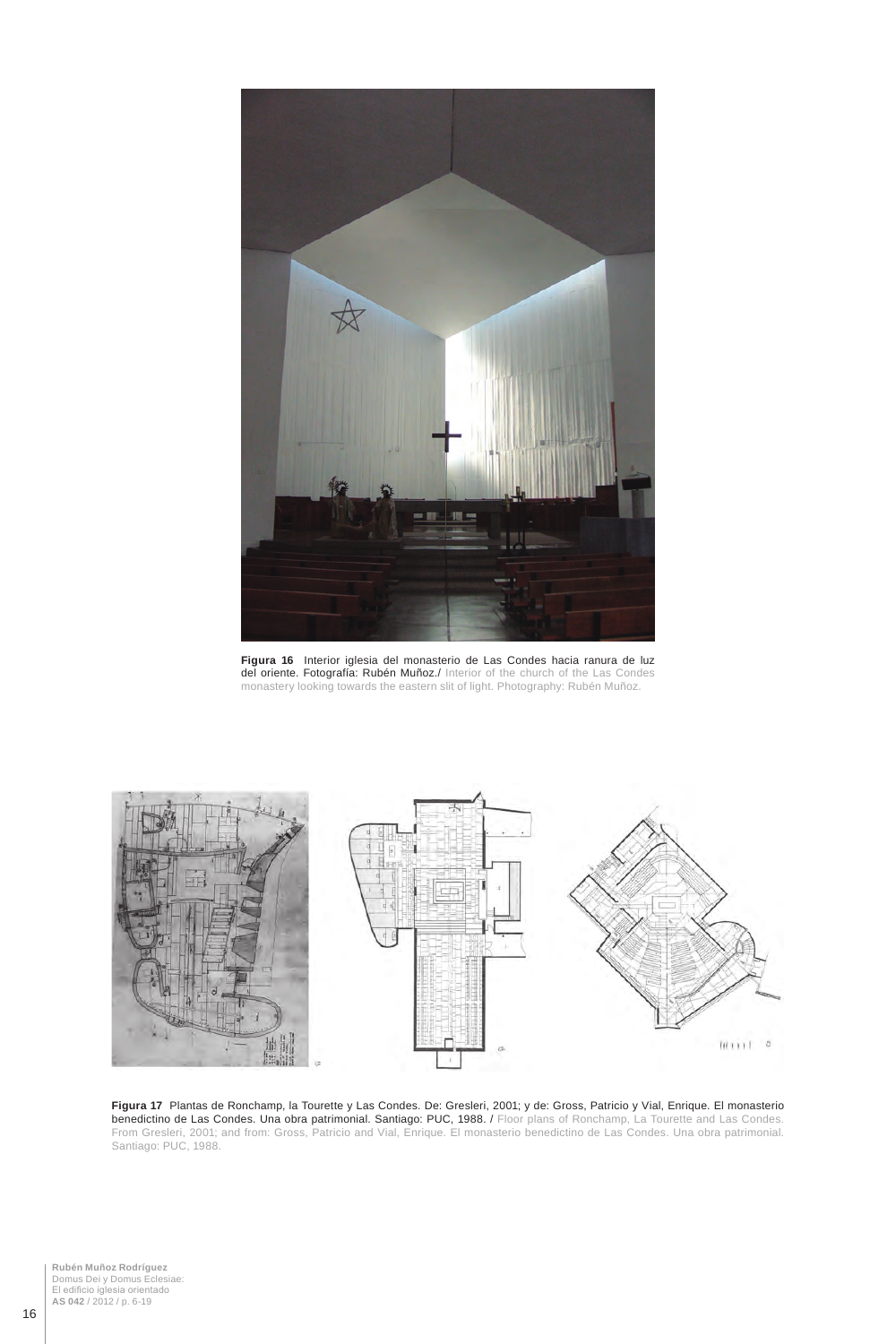

**Figura 16** Interior iglesia del monasterio de Las Condes hacia ranura de luz del oriente. Fotografía: Rubén Muñoz./ Interior of the church of the Las Condes monastery looking towards the eastern slit of light. Photography: Rubén Muñoz.



**Figura 17** Plantas de Ronchamp, la Tourette y Las Condes. De: Gresleri, 2001; y de: Gross, Patricio y Vial, Enrique. El monasterio benedictino de Las Condes. Una obra patrimonial. Santiago: PUC, 1988. / Floor plans of Ronchamp, La Tourette and Las Condes. From Gresleri, 2001; and from: Gross, Patricio and Vial, Enrique. El monasterio benedictino de Las Condes. Una obra patrimonial. Santiago: PUC, 1988.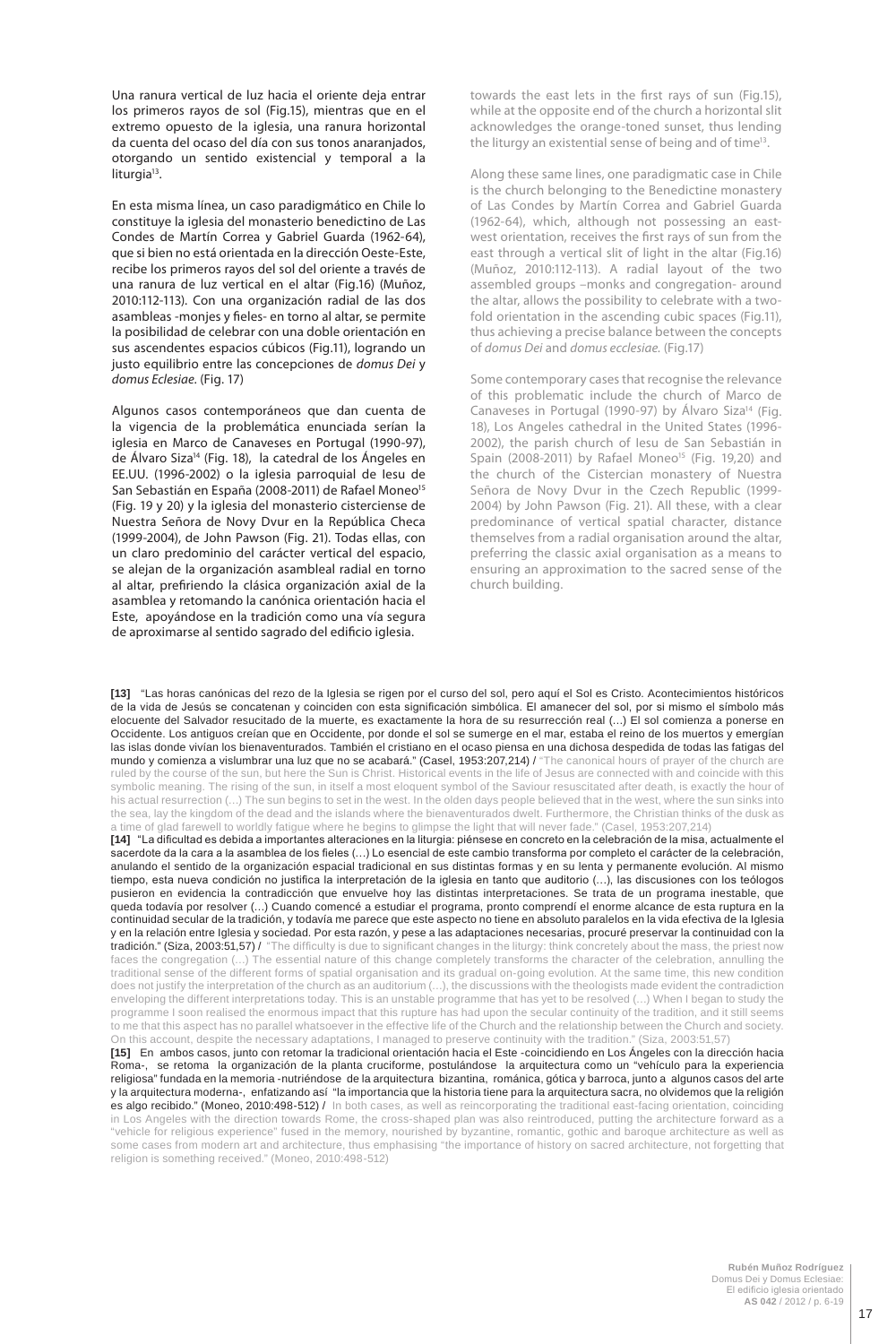Una ranura vertical de luz hacia el oriente deja entrar los primeros rayos de sol (Fig.15), mientras que en el extremo opuesto de la iglesia, una ranura horizontal da cuenta del ocaso del día con sus tonos anaranjados, otorgando un sentido existencial y temporal a la liturgia<sup>13</sup>.

En esta misma línea, un caso paradigmático en Chile lo constituye la iglesia del monasterio benedictino de Las Condes de Martín Correa y Gabriel Guarda (1962-64), que si bien no está orientada en la dirección Oeste-Este, recibe los primeros rayos del sol del oriente a través de una ranura de luz vertical en el altar (Fig.16) (Muñoz, 2010:112-113). Con una organización radial de las dos asambleas -monjes y fieles- en torno al altar, se permite la posibilidad de celebrar con una doble orientación en sus ascendentes espacios cúbicos (Fig.11), logrando un justo equilibrio entre las concepciones de *domus Dei* y *domus Eclesiae.* (Fig. 17)

Algunos casos contemporáneos que dan cuenta de la vigencia de la problemática enunciada serían la iglesia en Marco de Canaveses en Portugal (1990-97), de Álvaro Siza<sup>14</sup> (Fig. 18), la catedral de los Ángeles en EE.UU. (1996-2002) o la iglesia parroquial de Iesu de San Sebastián en España (2008-2011) de Rafael Moneo<sup>15</sup> (Fig. 19 y 20) y la iglesia del monasterio cisterciense de Nuestra Señora de Novy Dvur en la República Checa (1999-2004), de John Pawson (Fig. 21). Todas ellas, con un claro predominio del carácter vertical del espacio, se alejan de la organización asambleal radial en torno al altar, prefiriendo la clásica organización axial de la asamblea y retomando la canónica orientación hacia el Este, apoyándose en la tradición como una vía segura de aproximarse al sentido sagrado del edificio iglesia.

towards the east lets in the first rays of sun (Fig.15), while at the opposite end of the church a horizontal slit acknowledges the orange-toned sunset, thus lending the liturgy an existential sense of being and of time<sup>13</sup>.

Along these same lines, one paradigmatic case in Chile is the church belonging to the Benedictine monastery of Las Condes by Martín Correa and Gabriel Guarda (1962-64), which, although not possessing an eastwest orientation, receives the first rays of sun from the east through a vertical slit of light in the altar (Fig.16) (Muñoz, 2010:112-113). A radial layout of the two assembled groups –monks and congregation- around the altar, allows the possibility to celebrate with a twofold orientation in the ascending cubic spaces (Fig.11), thus achieving a precise balance between the concepts of *domus Dei* and *domus ecclesiae.* (Fig.17)

Some contemporary cases that recognise the relevance of this problematic include the church of Marco de Canaveses in Portugal (1990-97) by Álvaro Siza<sup>14</sup> (Fig. 18), Los Angeles cathedral in the United States (1996- 2002), the parish church of Iesu de San Sebastián in Spain (2008-2011) by Rafael Moneo<sup>15</sup> (Fig. 19,20) and the church of the Cistercian monastery of Nuestra Señora de Novy Dvur in the Czech Republic (1999- 2004) by John Pawson (Fig. 21). All these, with a clear predominance of vertical spatial character, distance themselves from a radial organisation around the altar, preferring the classic axial organisation as a means to ensuring an approximation to the sacred sense of the church building.

**[13]** "Las horas canónicas del rezo de la Iglesia se rigen por el curso del sol, pero aquí el Sol es Cristo. Acontecimientos históricos de la vida de Jesús se concatenan y coinciden con esta significación simbólica. El amanecer del sol, por si mismo el símbolo más elocuente del Salvador resucitado de la muerte, es exactamente la hora de su resurrección real (…) El sol comienza a ponerse en Occidente. Los antiguos creían que en Occidente, por donde el sol se sumerge en el mar, estaba el reino de los muertos y emergían las islas donde vivían los bienaventurados. También el cristiano en el ocaso piensa en una dichosa despedida de todas las fatigas del mundo y comienza a vislumbrar una luz que no se acabará." (Casel, 1953:207,214) / "The canonical hours of prayer of the church are ruled by the course of the sun, but here the Sun is Christ. Historical events in the life of Jesus are connected with and coincide with this symbolic meaning. The rising of the sun, in itself a most eloquent symbol of the Saviour resuscitated after death, is exactly the hour of his actual resurrection (…) The sun begins to set in the west. In the olden days people believed that in the west, where the sun sinks into the sea, lay the kingdom of the dead and the islands where the bienaventurados dwelt. Furthermore, the Christian thinks of the dusk as a time of glad farewell to worldly fatigue where he begins to glimpse the light that will never fade." (Casel, 1953:207,214)

**[14]** "La dificultad es debida a importantes alteraciones en la liturgia: piénsese en concreto en la celebración de la misa, actualmente el sacerdote da la cara a la asamblea de los fieles (...) Lo esencial de este cambio transforma por completo el carácter de la celebración, anulando el sentido de la organización espacial tradicional en sus distintas formas y en su lenta y permanente evolución. Al mismo tiempo, esta nueva condición no justifica la interpretación de la iglesia en tanto que auditorio (…), las discusiones con los teólogos pusieron en evidencia la contradicción que envuelve hoy las distintas interpretaciones. Se trata de un programa inestable, que queda todavía por resolver (…) Cuando comencé a estudiar el programa, pronto comprendí el enorme alcance de esta ruptura en la continuidad secular de la tradición, y todavía me parece que este aspecto no tiene en absoluto paralelos en la vida efectiva de la Iglesia y en la relación entre Iglesia y sociedad. Por esta razón, y pese a las adaptaciones necesarias, procuré preservar la continuidad con la **tradición." (Siza, 2003:51,57) /** "The difficulty is due to significant changes in the liturgy: think concretely about the mass, the priest now faces the congregation (…) The essential nature of this change completely transforms the character of the celebration, annulling the traditional sense of the different forms of spatial organisation and its gradual on-going evolution. At the same time, this new condition does not justify the interpretation of the church as an auditorium (…), the discussions with the theologists made evident the contradiction enveloping the different interpretations today. This is an unstable programme that has yet to be resolved (…) When I began to study the programme I soon realised the enormous impact that this rupture has had upon the secular continuity of the tradition, and it still seems to me that this aspect has no parallel whatsoever in the effective life of the Church and the relationship between the Church and society. On this account, despite the necessary adaptations, I managed to preserve continuity with the tradition." (Siza, 2003:51,57) **[15]** En ambos casos, junto con retomar la tradicional orientación hacia el Este -coincidiendo en Los Ángeles con la dirección hacia Roma-, se retoma la organización de la planta cruciforme, postulándose la arquitectura como un "vehículo para la experiencia

religiosa" fundada en la memoria -nutriéndose de la arquitectura bizantina, románica, gótica y barroca, junto a algunos casos del arte y la arquitectura moderna-, enfatizando así "la importancia que la historia tiene para la arquitectura sacra, no olvidemos que la religión es algo recibido." (Moneo, 2010:498-512) / In both cases, as well as reincorporating the traditional east-facing orientation, coinciding in Los Angeles with the direction towards Rome, the cross-shaped plan was also reintroduced, putting the architecture forward as a "vehicle for religious experience" fused in the memory, nourished by byzantine, romantic, gothic and baroque architecture as well as some cases from modern art and architecture, thus emphasising "the importance of history on sacred architecture, not forgetting that religion is something received." (Moneo, 2010:498-512)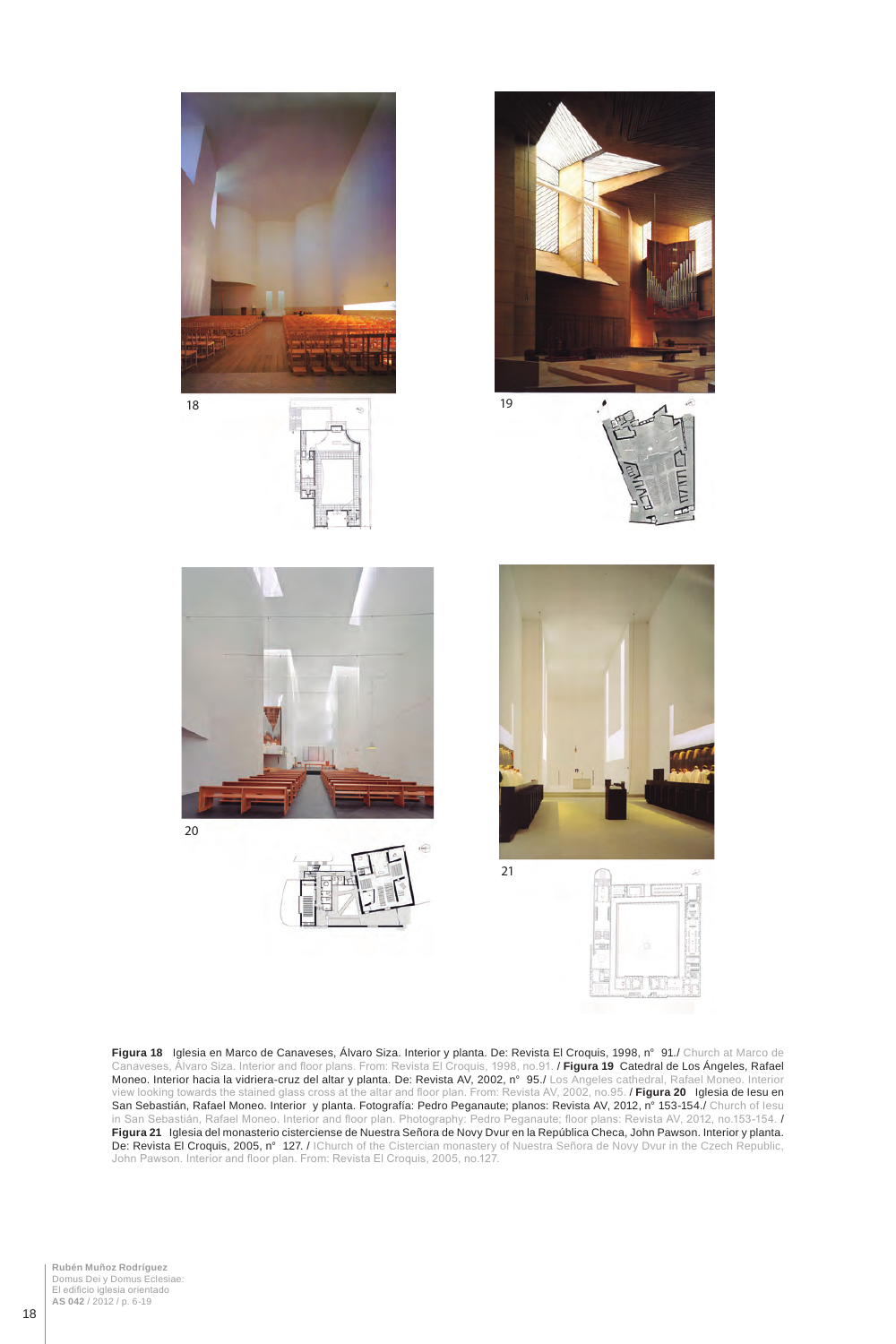

**Figura 18** Iglesia en Marco de Canaveses, Álvaro Siza. Interior y planta. De: Revista El Croquis, 1998, n° 91./ Church at Marco de

Canaveses, Álvaro Siza. Interior and floor plans. From: Revista El Croquis, 1998, no.91. / **Figura 19** Catedral de Los Ángeles, Rafael Moneo. Interior hacia la vidriera-cruz del altar y planta. De: Revista AV, 2002, n° 95./ Los Angeles cathedral, Rafael Moneo. Interior view looking towards the stained glass cross at the altar and floor plan. From: Revista AV, 2002, no.95. / **Figura 20** Iglesia de Iesu en San Sebastián, Rafael Moneo. Interior y planta. Fotografía: Pedro Peganaute; planos: Revista AV, 2012, n° 153-154./ Church of Iesu in San Sebastián, Rafael Moneo. Interior and floor plan. Photography: Pedro Peganaute; floor plans: Revista AV, 2012, no.153-154. / **Figura 21** Iglesia del monasterio cisterciense de Nuestra Señora de Novy Dvur en la República Checa, John Pawson. Interior y planta. **De: Revista El Croquis, 2005, n° 127. /** IChurch of the Cistercian monastery of Nuestra Señora de Novy Dvur in the Czech Republic, John Pawson. Interior and floor plan. From: Revista El Croquis, 2005, no.127.